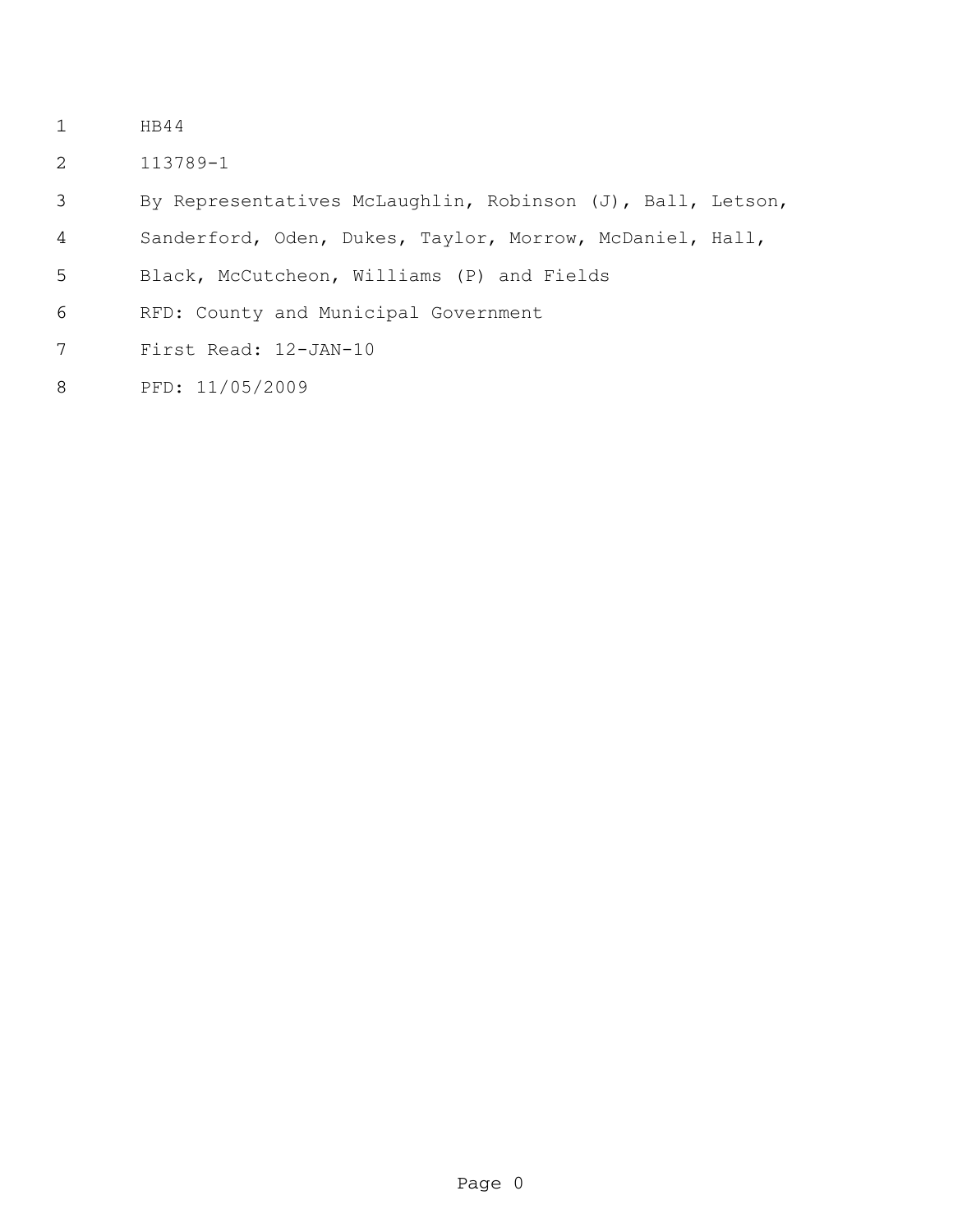- HB44
- 113789-1

By Representatives McLaughlin, Robinson (J), Ball, Letson,

- Sanderford, Oden, Dukes, Taylor, Morrow, McDaniel, Hall,
- Black, McCutcheon, Williams (P) and Fields
- RFD: County and Municipal Government
- First Read: 12-JAN-10
- PFD: 11/05/2009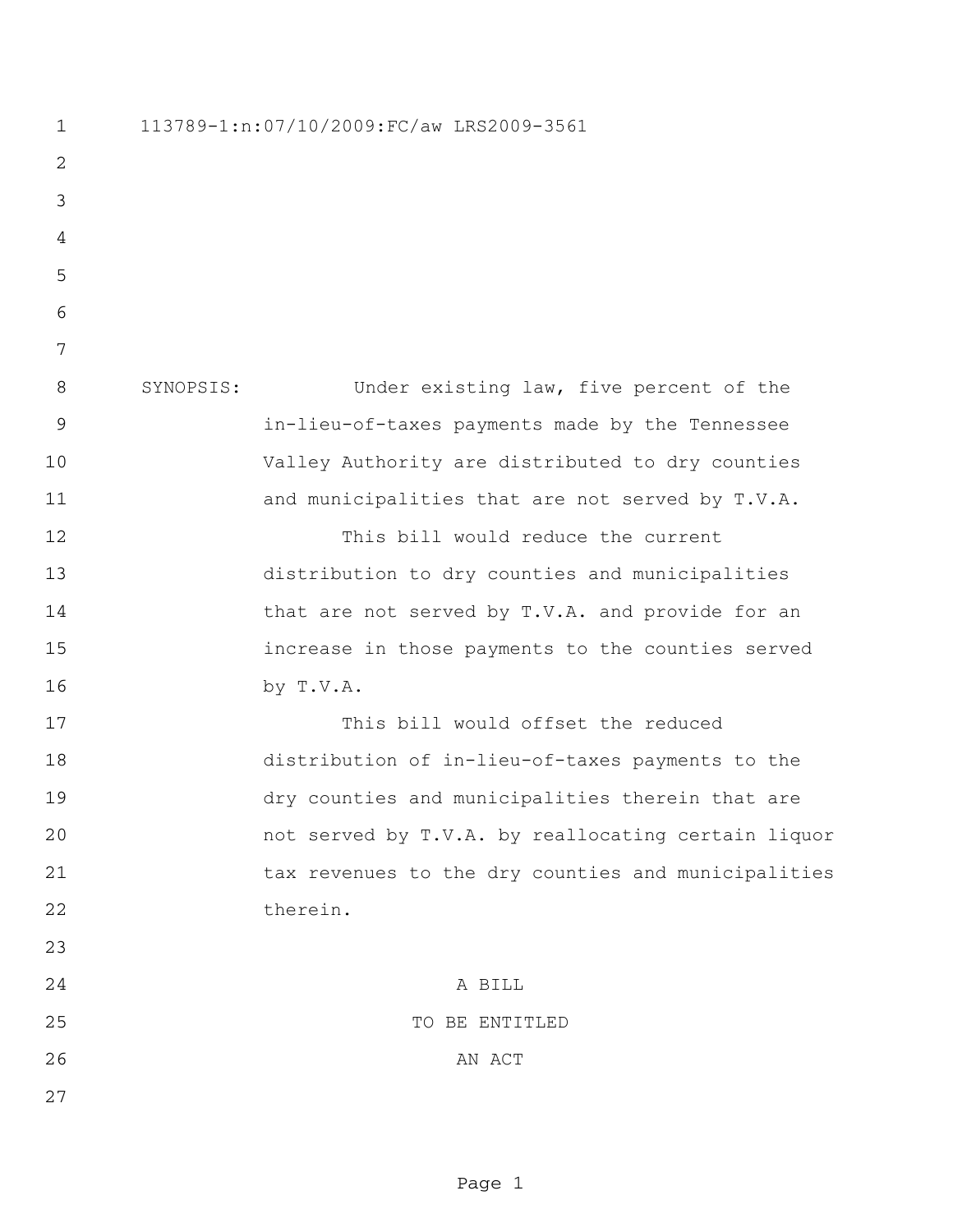113789-1:n:07/10/2009:FC/aw LRS2009-3561 SYNOPSIS: Under existing law, five percent of the in-lieu-of-taxes payments made by the Tennessee Valley Authority are distributed to dry counties 11 and municipalities that are not served by T.V.A. This bill would reduce the current distribution to dry counties and municipalities 14 that are not served by T.V.A. and provide for an increase in those payments to the counties served by T.V.A. This bill would offset the reduced distribution of in-lieu-of-taxes payments to the dry counties and municipalities therein that are not served by T.V.A. by reallocating certain liquor 21 tax revenues to the dry counties and municipalities 22 therein. A BILL TO BE ENTITLED 26 AN ACT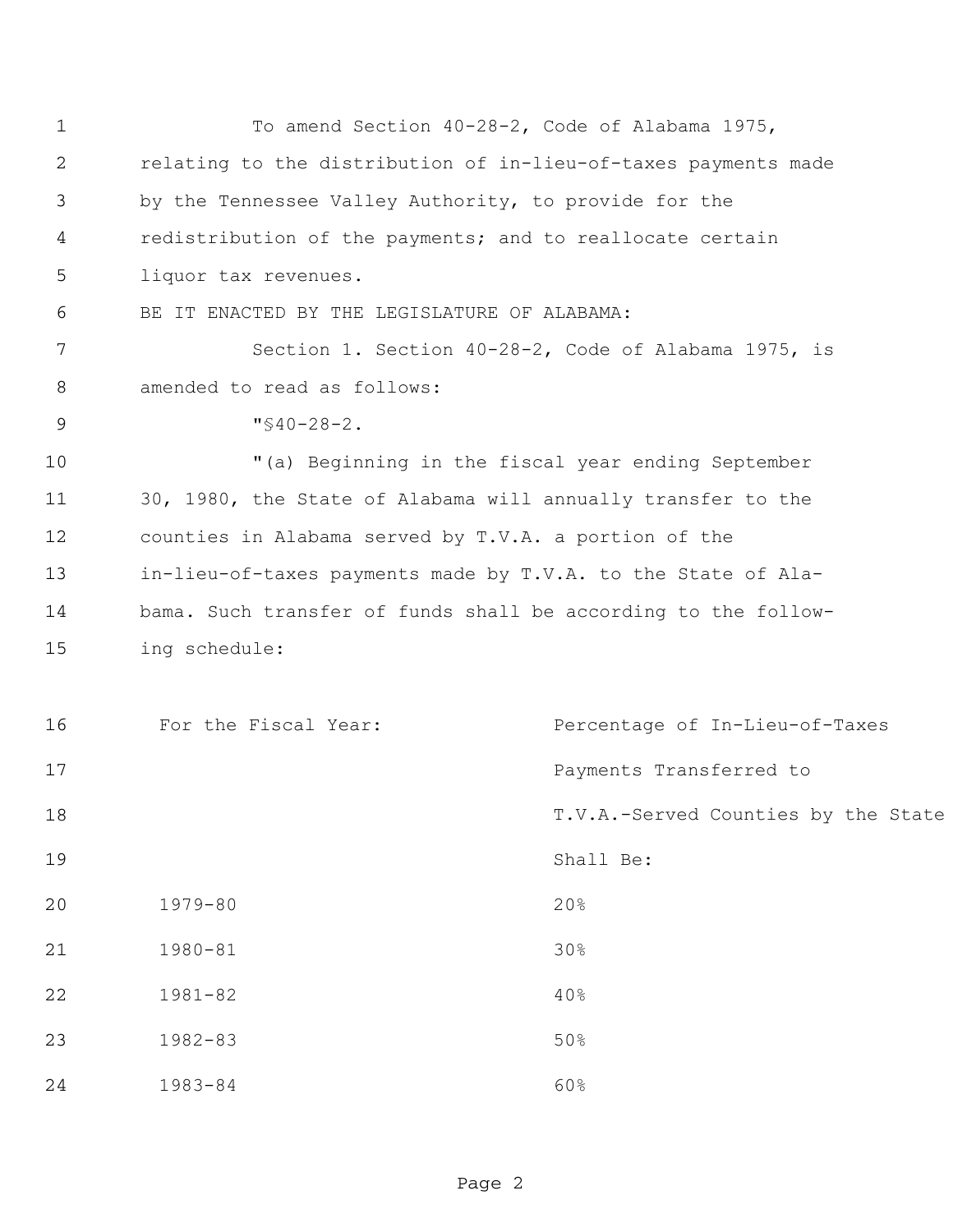| $\mathbf{1}$ | To amend Section 40-28-2, Code of Alabama 1975,                |                                     |
|--------------|----------------------------------------------------------------|-------------------------------------|
| 2            | relating to the distribution of in-lieu-of-taxes payments made |                                     |
| 3            | by the Tennessee Valley Authority, to provide for the          |                                     |
| 4            | redistribution of the payments; and to reallocate certain      |                                     |
| 5            | liquor tax revenues.                                           |                                     |
| 6            | BE IT ENACTED BY THE LEGISLATURE OF ALABAMA:                   |                                     |
| 7            | Section 1. Section 40-28-2, Code of Alabama 1975, is           |                                     |
| 8            | amended to read as follows:                                    |                                     |
| 9            | $"$ \$40-28-2.                                                 |                                     |
| 10           | "(a) Beginning in the fiscal year ending September             |                                     |
| 11           | 30, 1980, the State of Alabama will annually transfer to the   |                                     |
| 12           | counties in Alabama served by T.V.A. a portion of the          |                                     |
| 13           | in-lieu-of-taxes payments made by T.V.A. to the State of Ala-  |                                     |
| 14           | bama. Such transfer of funds shall be according to the follow- |                                     |
| 15           | ing schedule:                                                  |                                     |
|              |                                                                |                                     |
| 16           | For the Fiscal Year:                                           | Percentage of In-Lieu-of-Taxes      |
| 17           |                                                                | Payments Transferred to             |
| 18           |                                                                | T.V.A.-Served Counties by the State |
| 19           |                                                                | Shall Be:                           |
| 20           | $1979 - 80$                                                    | 20%                                 |
| 21           | $1980 - 81$                                                    | 30%                                 |
| 22           | $1981 - 82$                                                    | 40%                                 |
| 23           | $1982 - 83$                                                    | 50%                                 |
| 24           | $1983 - 84$                                                    | 60%                                 |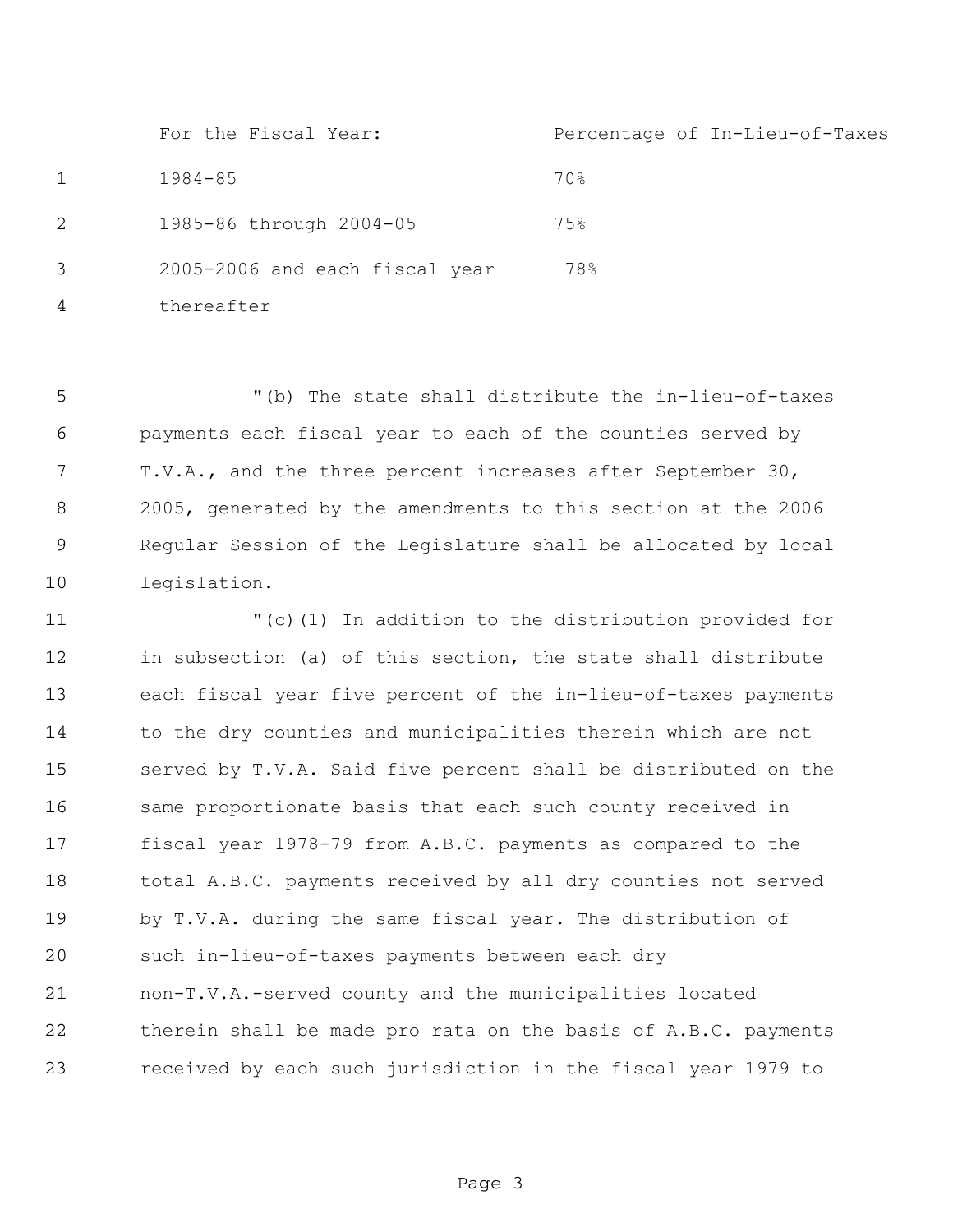For the Fiscal Year: Percentage of In-Lieu-of-Taxes 1984-85 70% 1985-86 through 2004-05 75% 2005-2006 and each fiscal year thereafter 78%

 "(b) The state shall distribute the in-lieu-of-taxes payments each fiscal year to each of the counties served by T.V.A., and the three percent increases after September 30, 2005, generated by the amendments to this section at the 2006 Regular Session of the Legislature shall be allocated by local legislation.

 "(c)(1) In addition to the distribution provided for in subsection (a) of this section, the state shall distribute each fiscal year five percent of the in-lieu-of-taxes payments to the dry counties and municipalities therein which are not served by T.V.A. Said five percent shall be distributed on the same proportionate basis that each such county received in fiscal year 1978-79 from A.B.C. payments as compared to the total A.B.C. payments received by all dry counties not served by T.V.A. during the same fiscal year. The distribution of such in-lieu-of-taxes payments between each dry non-T.V.A.-served county and the municipalities located therein shall be made pro rata on the basis of A.B.C. payments received by each such jurisdiction in the fiscal year 1979 to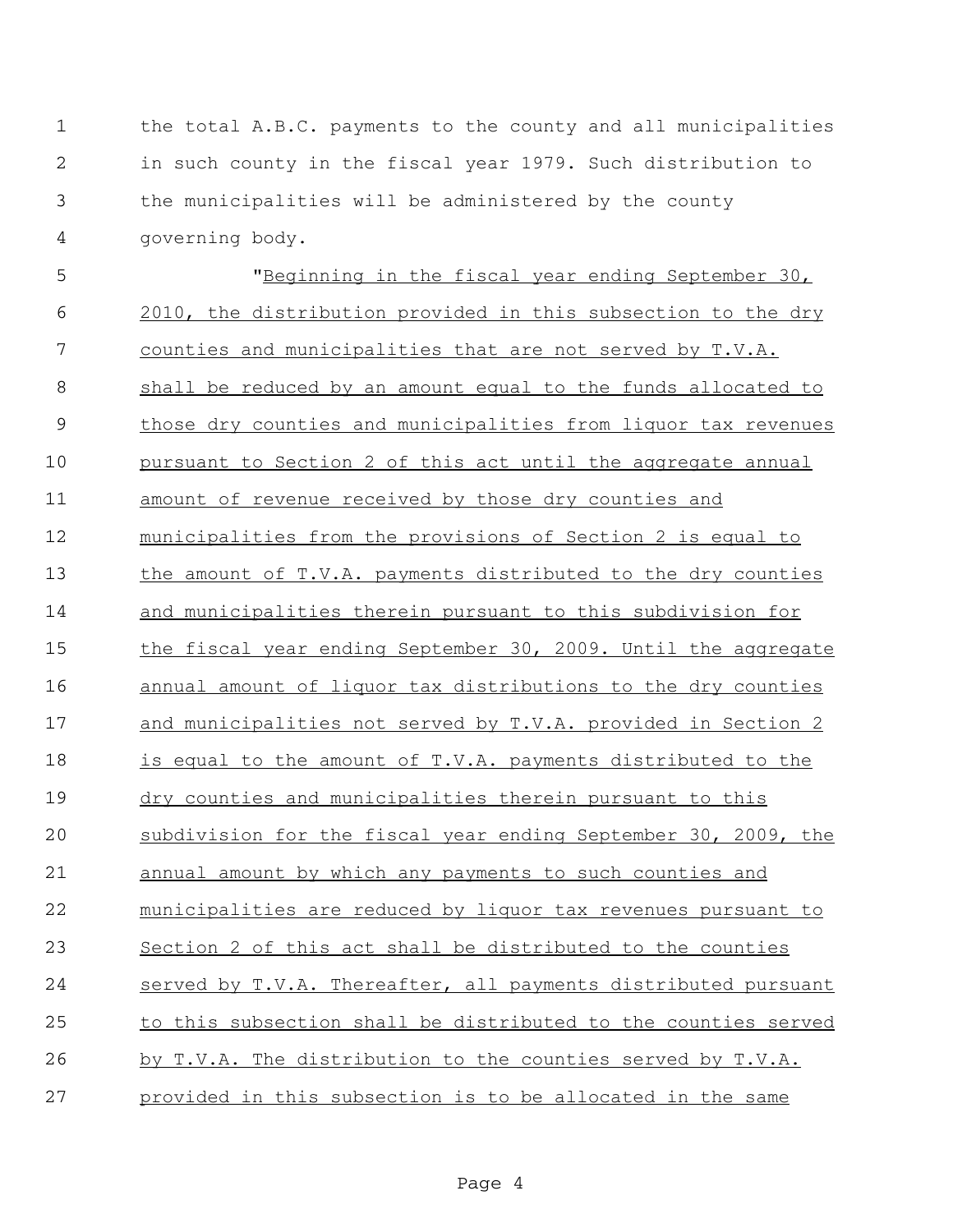the total A.B.C. payments to the county and all municipalities in such county in the fiscal year 1979. Such distribution to the municipalities will be administered by the county governing body.

 "Beginning in the fiscal year ending September 30, 2010, the distribution provided in this subsection to the dry counties and municipalities that are not served by T.V.A. shall be reduced by an amount equal to the funds allocated to those dry counties and municipalities from liquor tax revenues 10 pursuant to Section 2 of this act until the aggregate annual amount of revenue received by those dry counties and municipalities from the provisions of Section 2 is equal to the amount of T.V.A. payments distributed to the dry counties 14 and municipalities therein pursuant to this subdivision for the fiscal year ending September 30, 2009. Until the aggregate annual amount of liquor tax distributions to the dry counties and municipalities not served by T.V.A. provided in Section 2 is equal to the amount of T.V.A. payments distributed to the dry counties and municipalities therein pursuant to this subdivision for the fiscal year ending September 30, 2009, the 21 annual amount by which any payments to such counties and municipalities are reduced by liquor tax revenues pursuant to Section 2 of this act shall be distributed to the counties served by T.V.A. Thereafter, all payments distributed pursuant 25 to this subsection shall be distributed to the counties served by T.V.A. The distribution to the counties served by T.V.A. provided in this subsection is to be allocated in the same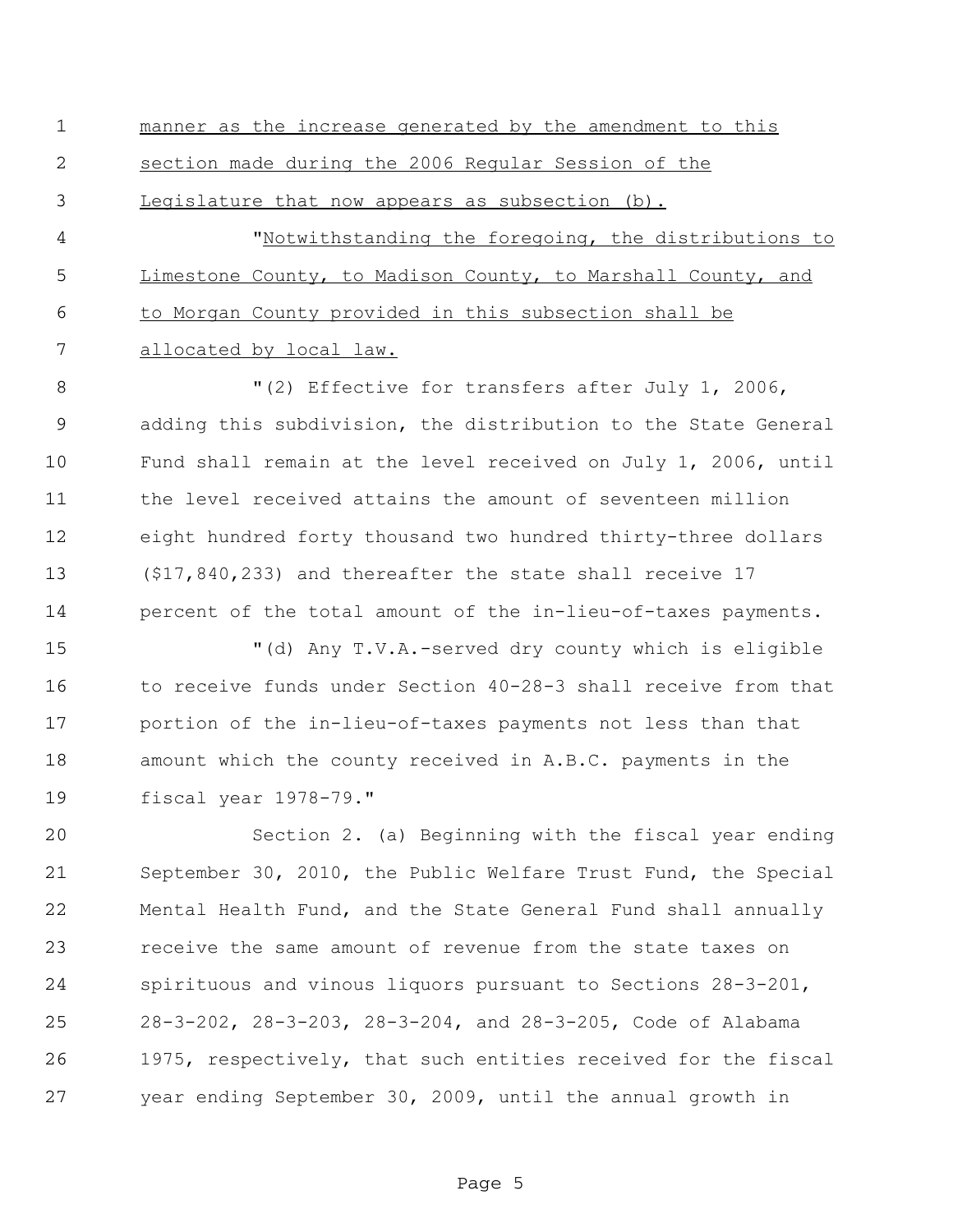manner as the increase generated by the amendment to this section made during the 2006 Regular Session of the Legislature that now appears as subsection (b). "Notwithstanding the foregoing, the distributions to Limestone County, to Madison County, to Marshall County, and to Morgan County provided in this subsection shall be 7 allocated by local law.

8 T(2) Effective for transfers after July 1, 2006, adding this subdivision, the distribution to the State General Fund shall remain at the level received on July 1, 2006, until the level received attains the amount of seventeen million eight hundred forty thousand two hundred thirty-three dollars (\$17,840,233) and thereafter the state shall receive 17 percent of the total amount of the in-lieu-of-taxes payments.

 "(d) Any T.V.A.-served dry county which is eligible to receive funds under Section 40-28-3 shall receive from that portion of the in-lieu-of-taxes payments not less than that amount which the county received in A.B.C. payments in the fiscal year 1978-79."

 Section 2. (a) Beginning with the fiscal year ending September 30, 2010, the Public Welfare Trust Fund, the Special Mental Health Fund, and the State General Fund shall annually receive the same amount of revenue from the state taxes on spirituous and vinous liquors pursuant to Sections 28-3-201, 28-3-202, 28-3-203, 28-3-204, and 28-3-205, Code of Alabama 1975, respectively, that such entities received for the fiscal year ending September 30, 2009, until the annual growth in

Page 5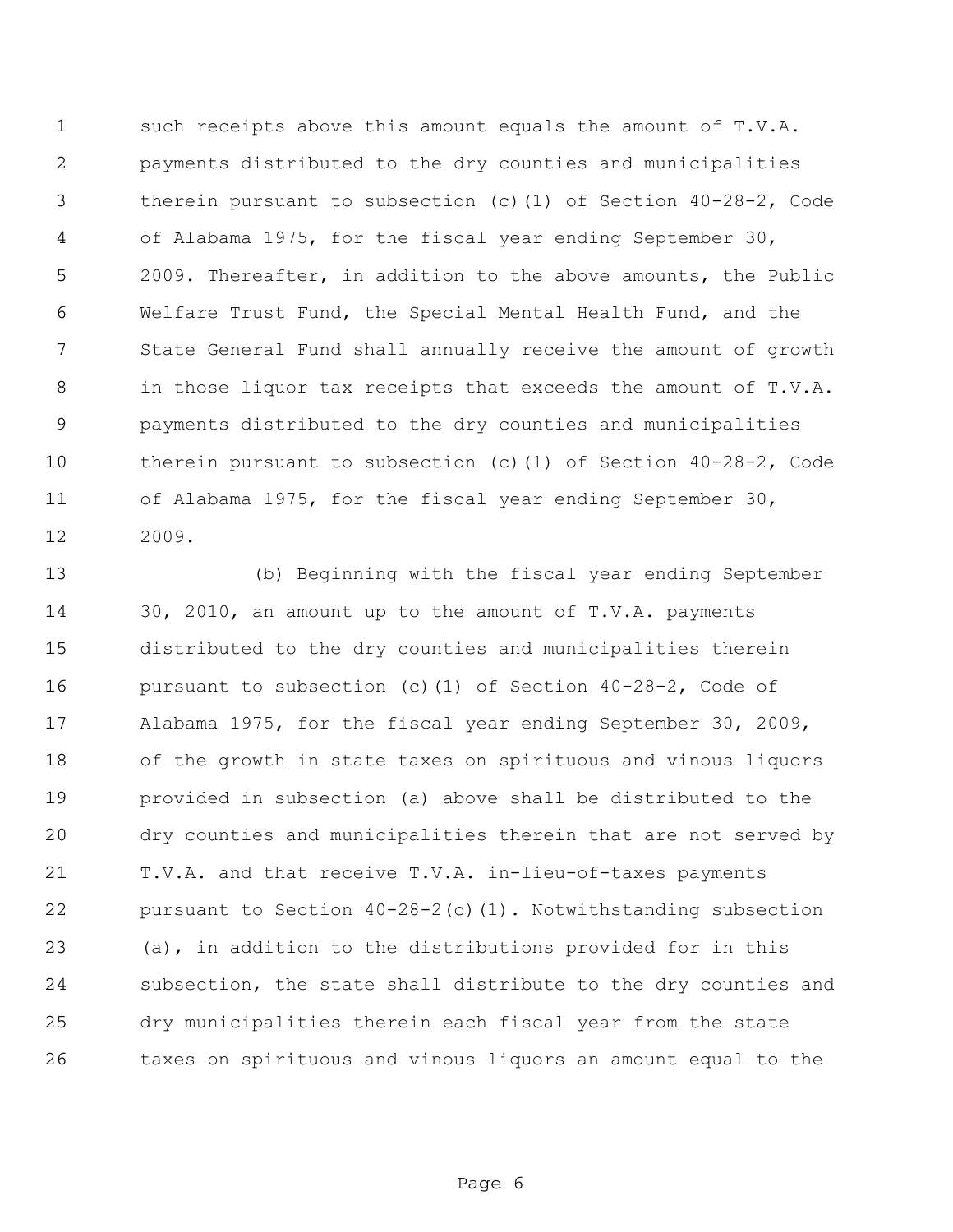such receipts above this amount equals the amount of T.V.A. payments distributed to the dry counties and municipalities therein pursuant to subsection (c)(1) of Section 40-28-2, Code of Alabama 1975, for the fiscal year ending September 30, 2009. Thereafter, in addition to the above amounts, the Public Welfare Trust Fund, the Special Mental Health Fund, and the State General Fund shall annually receive the amount of growth in those liquor tax receipts that exceeds the amount of T.V.A. payments distributed to the dry counties and municipalities therein pursuant to subsection (c)(1) of Section 40-28-2, Code of Alabama 1975, for the fiscal year ending September 30, 2009.

 (b) Beginning with the fiscal year ending September 30, 2010, an amount up to the amount of T.V.A. payments distributed to the dry counties and municipalities therein pursuant to subsection (c)(1) of Section 40-28-2, Code of Alabama 1975, for the fiscal year ending September 30, 2009, of the growth in state taxes on spirituous and vinous liquors provided in subsection (a) above shall be distributed to the dry counties and municipalities therein that are not served by T.V.A. and that receive T.V.A. in-lieu-of-taxes payments pursuant to Section 40-28-2(c)(1). Notwithstanding subsection (a), in addition to the distributions provided for in this subsection, the state shall distribute to the dry counties and dry municipalities therein each fiscal year from the state taxes on spirituous and vinous liquors an amount equal to the